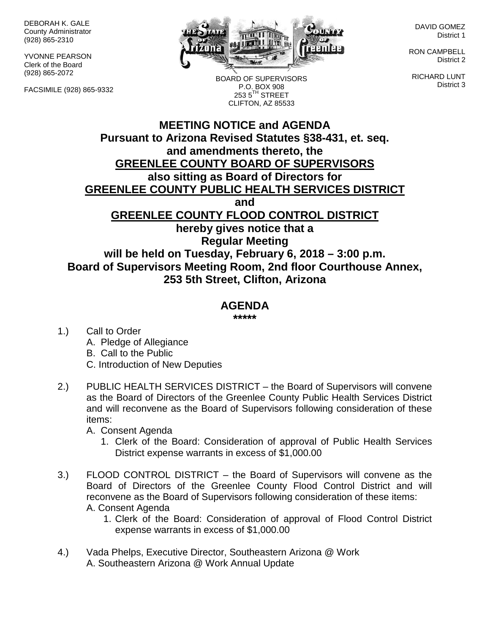DEBORAH K. GALE County Administrator (928) 865-2310

YVONNE PEARSON Clerk of the Board (928) 865-2072

FACSIMILE (928) 865-9332



BOARD OF SUPERVISORS P.O. BOX 908  $2535^{\text{TH}}$  STREET

DAVID GOMEZ District 1

RON CAMPBELL District 2

RICHARD LUNT District 3

## **MEETING NOTICE and AGENDA Pursuant to Arizona Revised Statutes §38-431, et. seq. and amendments thereto, the GREENLEE COUNTY BOARD OF SUPERVISORS also sitting as Board of Directors for GREENLEE COUNTY PUBLIC HEALTH SERVICES DISTRICT and GREENLEE COUNTY FLOOD CONTROL DISTRICT hereby gives notice that a Regular Meeting will be held on Tuesday, February 6, 2018 – 3:00 p.m. Board of Supervisors Meeting Room, 2nd floor Courthouse Annex, 253 5th Street, Clifton, Arizona** CLIFTON, AZ 85533

## **AGENDA**

**\*\*\*\*\***

1.) Call to Order A. Pledge of Allegiance B. Call to the Public C. Introduction of New Deputies

- 2.) PUBLIC HEALTH SERVICES DISTRICT the Board of Supervisors will convene as the Board of Directors of the Greenlee County Public Health Services District and will reconvene as the Board of Supervisors following consideration of these items:
	- A. Consent Agenda
		- 1. Clerk of the Board: Consideration of approval of Public Health Services District expense warrants in excess of \$1,000.00
- 3.) FLOOD CONTROL DISTRICT the Board of Supervisors will convene as the Board of Directors of the Greenlee County Flood Control District and will reconvene as the Board of Supervisors following consideration of these items: A. Consent Agenda
	- 1. Clerk of the Board: Consideration of approval of Flood Control District expense warrants in excess of \$1,000.00
- 4.) Vada Phelps, Executive Director, Southeastern Arizona @ Work A. Southeastern Arizona @ Work Annual Update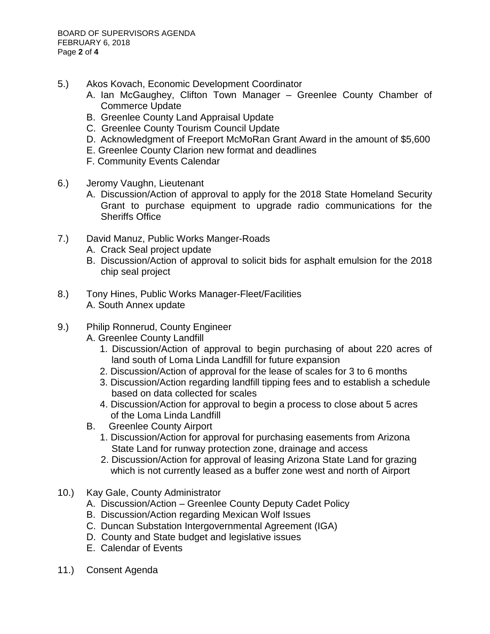- 5.) Akos Kovach, Economic Development Coordinator
	- A. Ian McGaughey, Clifton Town Manager Greenlee County Chamber of Commerce Update
	- B. Greenlee County Land Appraisal Update
	- C. Greenlee County Tourism Council Update
	- D. Acknowledgment of Freeport McMoRan Grant Award in the amount of \$5,600
	- E. Greenlee County Clarion new format and deadlines
	- F. Community Events Calendar
- 6.) Jeromy Vaughn, Lieutenant
	- A. Discussion/Action of approval to apply for the 2018 State Homeland Security Grant to purchase equipment to upgrade radio communications for the Sheriffs Office
- 7.) David Manuz, Public Works Manger-Roads
	- A. Crack Seal project update
	- B. Discussion/Action of approval to solicit bids for asphalt emulsion for the 2018 chip seal project
- 8.) Tony Hines, Public Works Manager-Fleet/Facilities A. South Annex update
- 9.) Philip Ronnerud, County Engineer
	- A. Greenlee County Landfill
		- 1. Discussion/Action of approval to begin purchasing of about 220 acres of land south of Loma Linda Landfill for future expansion
		- 2. Discussion/Action of approval for the lease of scales for 3 to 6 months
		- 3. Discussion/Action regarding landfill tipping fees and to establish a schedule based on data collected for scales
		- 4. Discussion/Action for approval to begin a process to close about 5 acres of the Loma Linda Landfill
	- B. Greenlee County Airport
		- 1. Discussion/Action for approval for purchasing easements from Arizona State Land for runway protection zone, drainage and access
		- 2. Discussion/Action for approval of leasing Arizona State Land for grazing which is not currently leased as a buffer zone west and north of Airport
- 10.) Kay Gale, County Administrator
	- A. Discussion/Action Greenlee County Deputy Cadet Policy
	- B. Discussion/Action regarding Mexican Wolf Issues
	- C. Duncan Substation Intergovernmental Agreement (IGA)
	- D. County and State budget and legislative issues
	- E. Calendar of Events
- 11.) Consent Agenda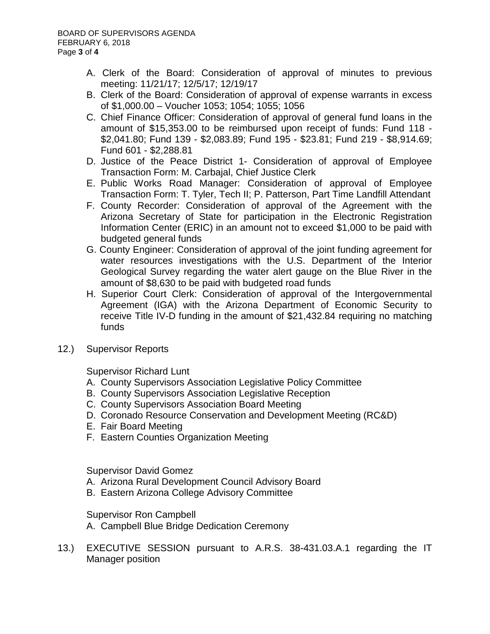- A. Clerk of the Board: Consideration of approval of minutes to previous meeting: 11/21/17; 12/5/17; 12/19/17
- B. Clerk of the Board: Consideration of approval of expense warrants in excess of \$1,000.00 – Voucher 1053; 1054; 1055; 1056
- C. Chief Finance Officer: Consideration of approval of general fund loans in the amount of \$15,353.00 to be reimbursed upon receipt of funds: Fund 118 - \$2,041.80; Fund 139 - \$2,083.89; Fund 195 - \$23.81; Fund 219 - \$8,914.69; Fund 601 - \$2,288.81
- D. Justice of the Peace District 1- Consideration of approval of Employee Transaction Form: M. Carbajal, Chief Justice Clerk
- E. Public Works Road Manager: Consideration of approval of Employee Transaction Form: T. Tyler, Tech II; P. Patterson, Part Time Landfill Attendant
- F. County Recorder: Consideration of approval of the Agreement with the Arizona Secretary of State for participation in the Electronic Registration Information Center (ERIC) in an amount not to exceed \$1,000 to be paid with budgeted general funds
- G. County Engineer: Consideration of approval of the joint funding agreement for water resources investigations with the U.S. Department of the Interior Geological Survey regarding the water alert gauge on the Blue River in the amount of \$8,630 to be paid with budgeted road funds
- H. Superior Court Clerk: Consideration of approval of the Intergovernmental Agreement (IGA) with the Arizona Department of Economic Security to receive Title IV-D funding in the amount of \$21,432.84 requiring no matching funds
- 12.) Supervisor Reports

Supervisor Richard Lunt

- A. County Supervisors Association Legislative Policy Committee
- B. County Supervisors Association Legislative Reception
- C. County Supervisors Association Board Meeting
- D. Coronado Resource Conservation and Development Meeting (RC&D)
- E. Fair Board Meeting
- F. Eastern Counties Organization Meeting

Supervisor David Gomez

- A. Arizona Rural Development Council Advisory Board
- B. Eastern Arizona College Advisory Committee

Supervisor Ron Campbell

- A. Campbell Blue Bridge Dedication Ceremony
- 13.) EXECUTIVE SESSION pursuant to A.R.S. 38-431.03.A.1 regarding the IT Manager position